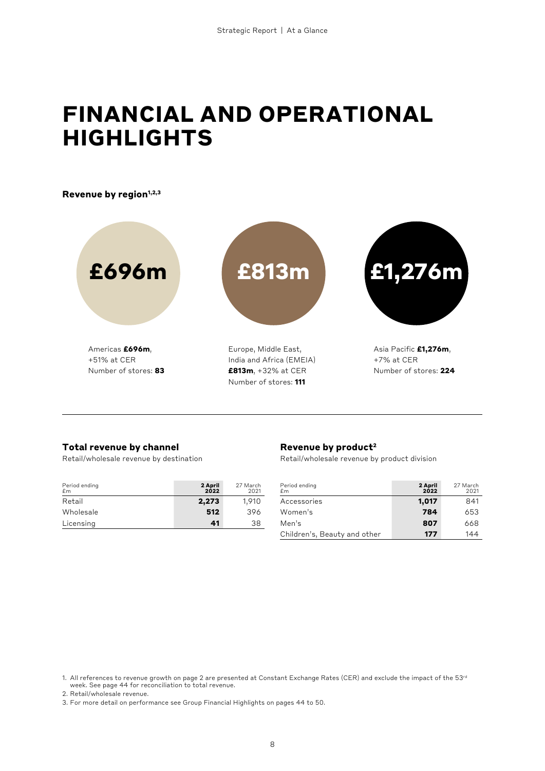# **FINANCIAL AND OPERATIONAL HIGHLIGHTS**

Revenue by region<sup>1,2,3</sup>



Number of stores: **111**

# **Total revenue by channel**

Retail/wholesale revenue by destination

| Period ending<br>£m | 2 April<br>2022 | 27 March<br>2021 |
|---------------------|-----------------|------------------|
| Retail              | 2,273           | 1,910            |
| Wholesale           | 512             | 396              |
| Licensing           | 41              | 38               |
|                     |                 |                  |

#### **Revenue by product2**

Retail/wholesale revenue by product division

| Period ending<br>f <sub>m</sub> | 2 April<br>2022 | 27 March<br>2021 |
|---------------------------------|-----------------|------------------|
| Accessories                     | 1,017           | 841              |
| Women's                         | 784             | 653              |
| Men's                           | 807             | 668              |
| Children's, Beauty and other    | 177             | 144              |

2. Retail/wholesale revenue.

<sup>1.</sup> All references to revenue growth on page 2 are presented at Constant Exchange Rates (CER) and exclude the impact of the 53rd week. See page 44 for reconciliation to total revenue.

<sup>3.</sup> For more detail on performance see Group Financial Highlights on pages 44 to 50.